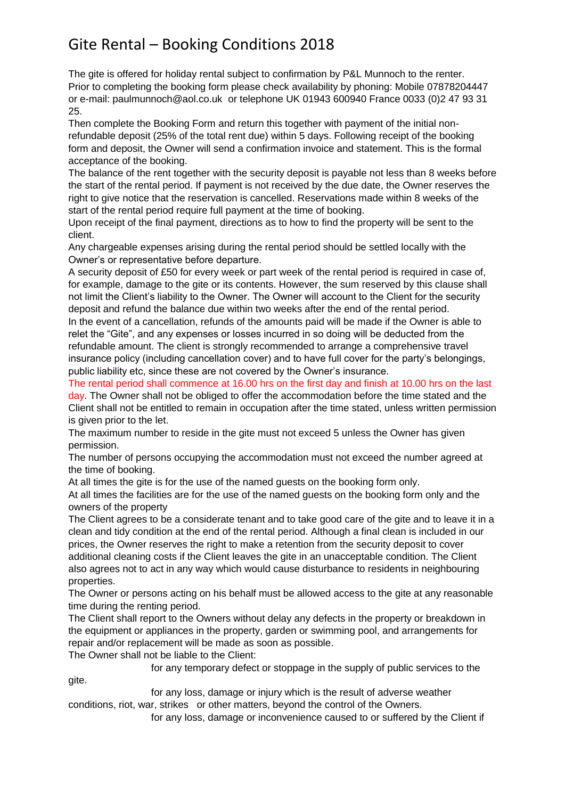## Gite Rental – Booking Conditions 2018

The gite is offered for holiday rental subject to confirmation by P&L Munnoch to the renter. Prior to completing the booking form please check availability by phoning: Mobile 07878204447 or e-mail: paulmunnoch@aol.co.uk or telephone UK 01943 600940 France 0033 (0)2 47 93 31 25.

Then complete the Booking Form and return this together with payment of the initial nonrefundable deposit (25% of the total rent due) within 5 days. Following receipt of the booking form and deposit, the Owner will send a confirmation invoice and statement. This is the formal acceptance of the booking.

The balance of the rent together with the security deposit is payable not less than 8 weeks before the start of the rental period. If payment is not received by the due date, the Owner reserves the right to give notice that the reservation is cancelled. Reservations made within 8 weeks of the start of the rental period require full payment at the time of booking.

Upon receipt of the final payment, directions as to how to find the property will be sent to the client.

Any chargeable expenses arising during the rental period should be settled locally with the Owner's or representative before departure.

A security deposit of £50 for every week or part week of the rental period is required in case of, for example, damage to the gite or its contents. However, the sum reserved by this clause shall not limit the Client's liability to the Owner. The Owner will account to the Client for the security deposit and refund the balance due within two weeks after the end of the rental period.

In the event of a cancellation, refunds of the amounts paid will be made if the Owner is able to relet the "Gite", and any expenses or losses incurred in so doing will be deducted from the refundable amount. The client is strongly recommended to arrange a comprehensive travel insurance policy (including cancellation cover) and to have full cover for the party's belongings, public liability etc, since these are not covered by the Owner's insurance.

The rental period shall commence at 16.00 hrs on the first day and finish at 10.00 hrs on the last day. The Owner shall not be obliged to offer the accommodation before the time stated and the Client shall not be entitled to remain in occupation after the time stated, unless written permission is given prior to the let.

The maximum number to reside in the gite must not exceed 5 unless the Owner has given permission.

The number of persons occupying the accommodation must not exceed the number agreed at the time of booking.

At all times the gite is for the use of the named guests on the booking form only.

At all times the facilities are for the use of the named guests on the booking form only and the owners of the property

The Client agrees to be a considerate tenant and to take good care of the gite and to leave it in a clean and tidy condition at the end of the rental period. Although a final clean is included in our prices, the Owner reserves the right to make a retention from the security deposit to cover additional cleaning costs if the Client leaves the gite in an unacceptable condition. The Client also agrees not to act in any way which would cause disturbance to residents in neighbouring properties.

The Owner or persons acting on his behalf must be allowed access to the gite at any reasonable time during the renting period.

The Client shall report to the Owners without delay any defects in the property or breakdown in the equipment or appliances in the property, garden or swimming pool, and arrangements for repair and/or replacement will be made as soon as possible.

The Owner shall not be liable to the Client:

for any temporary defect or stoppage in the supply of public services to the

gite.

 for any loss, damage or injury which is the result of adverse weather conditions, riot, war, strikes or other matters, beyond the control of the Owners.

for any loss, damage or inconvenience caused to or suffered by the Client if